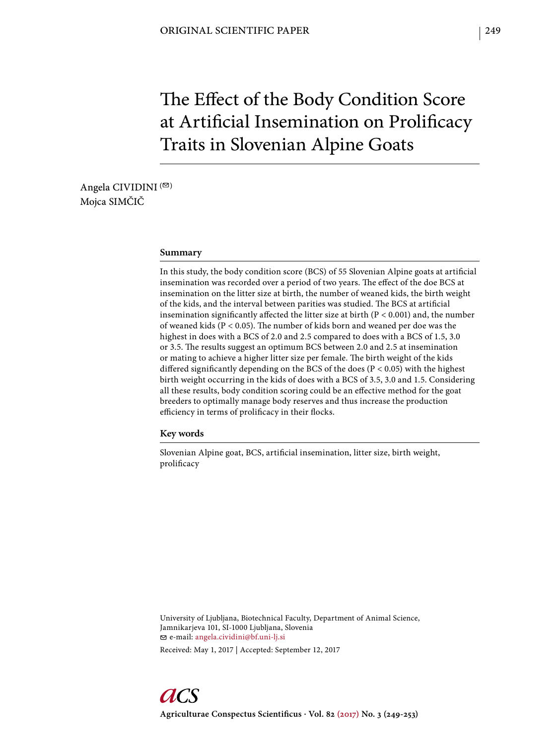# The Effect of the Body Condition Score at Artificial Insemination on Prolificacy Traits in Slovenian Alpine Goats

Angela CIVIDINI $($ Mojca SIMČIČ

## **Summary**

In this study, the body condition score (BCS) of 55 Slovenian Alpine goats at artificial insemination was recorded over a period of two years. The effect of the doe BCS at insemination on the litter size at birth, the number of weaned kids, the birth weight of the kids, and the interval between parities was studied. The BCS at artificial insemination significantly affected the litter size at birth  $(P < 0.001)$  and, the number of weaned kids ( $P < 0.05$ ). The number of kids born and weaned per doe was the highest in does with a BCS of 2.0 and 2.5 compared to does with a BCS of 1.5, 3.0 or 3.5. The results suggest an optimum BCS between 2.0 and 2.5 at insemination or mating to achieve a higher litter size per female. The birth weight of the kids differed significantly depending on the BCS of the does ( $P < 0.05$ ) with the highest birth weight occurring in the kids of does with a BCS of 3.5, 3.0 and 1.5. Considering all these results, body condition scoring could be an effective method for the goat breeders to optimally manage body reserves and thus increase the production efficiency in terms of prolificacy in their flocks.

# **Key words**

Slovenian Alpine goat, BCS, artificial insemination, litter size, birth weight, prolificacy

University of Ljubljana, Biotechnical Faculty, Department of Animal Science, Jamnikarjeva 101, SI-1000 Ljubljana, Slovenia e-mail: angela.cividini@bf.uni-lj.si

Received: May 1, 2017 | Accepted: September 12, 2017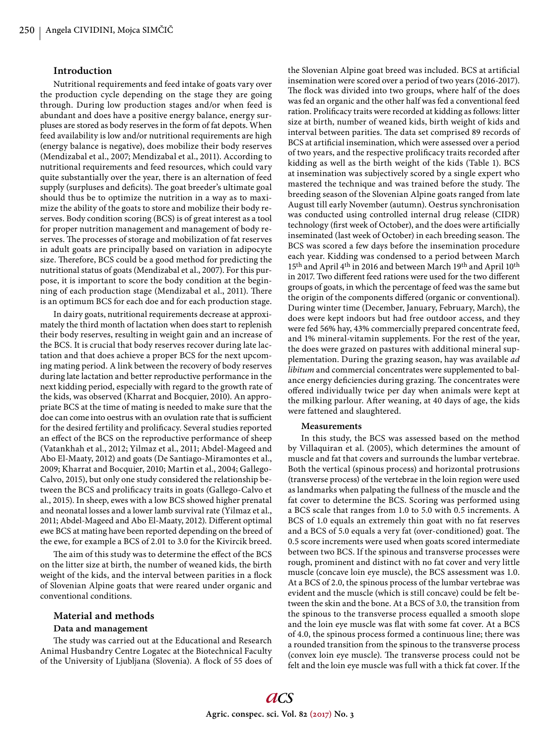## **Introduction**

Nutritional requirements and feed intake of goats vary over the production cycle depending on the stage they are going through. During low production stages and/or when feed is abundant and does have a positive energy balance, energy surpluses are stored as body reserves in the form of fat depots. When feed availability is low and/or nutritional requirements are high (energy balance is negative), does mobilize their body reserves (Mendizabal et al., 2007; Mendizabal et al., 2011). According to nutritional requirements and feed resources, which could vary quite substantially over the year, there is an alternation of feed supply (surpluses and deficits). The goat breeder's ultimate goal should thus be to optimize the nutrition in a way as to maximize the ability of the goats to store and mobilize their body reserves. Body condition scoring (BCS) is of great interest as a tool for proper nutrition management and management of body reserves. The processes of storage and mobilization of fat reserves in adult goats are principally based on variation in adipocyte size. Therefore, BCS could be a good method for predicting the nutritional status of goats (Mendizabal et al., 2007). For this purpose, it is important to score the body condition at the beginning of each production stage (Mendizabal et al., 2011). There is an optimum BCS for each doe and for each production stage.

In dairy goats, nutritional requirements decrease at approximately the third month of lactation when does start to replenish their body reserves, resulting in weight gain and an increase of the BCS. It is crucial that body reserves recover during late lactation and that does achieve a proper BCS for the next upcoming mating period. A link between the recovery of body reserves during late lactation and better reproductive performance in the next kidding period, especially with regard to the growth rate of the kids, was observed (Kharrat and Bocquier, 2010). An appropriate BCS at the time of mating is needed to make sure that the doe can come into oestrus with an ovulation rate that is sufficient for the desired fertility and prolificacy. Several studies reported an effect of the BCS on the reproductive performance of sheep (Vatankhah et al., 2012; Yilmaz et al., 2011; Abdel-Mageed and Abo El-Maaty, 2012) and goats (De Santiago-Miramontes et al., 2009; Kharrat and Bocquier, 2010; Martin et al., 2004; Gallego-Calvo, 2015), but only one study considered the relationship between the BCS and prolificacy traits in goats (Gallego-Calvo et al., 2015). In sheep, ewes with a low BCS showed higher prenatal and neonatal losses and a lower lamb survival rate (Yilmaz et al., 2011; Abdel-Mageed and Abo El-Maaty, 2012). Different optimal ewe BCS at mating have been reported depending on the breed of the ewe, for example a BCS of 2.01 to 3.0 for the Kivircik breed.

The aim of this study was to determine the effect of the BCS on the litter size at birth, the number of weaned kids, the birth weight of the kids, and the interval between parities in a flock of Slovenian Alpine goats that were reared under organic and conventional conditions.

## **Material and methods**

#### **Data and management**

The study was carried out at the Educational and Research Animal Husbandry Centre Logatec at the Biotechnical Faculty of the University of Ljubljana (Slovenia). A flock of 55 does of the Slovenian Alpine goat breed was included. BCS at artificial insemination were scored over a period of two years (2016-2017). The flock was divided into two groups, where half of the does was fed an organic and the other half was fed a conventional feed ration. Prolificacy traits were recorded at kidding as follows: litter size at birth, number of weaned kids, birth weight of kids and interval between parities. The data set comprised 89 records of BCS at artificial insemination, which were assessed over a period of two years, and the respective prolificacy traits recorded after kidding as well as the birth weight of the kids (Table 1). BCS at insemination was subjectively scored by a single expert who mastered the technique and was trained before the study. The breeding season of the Slovenian Alpine goats ranged from late August till early November (autumn). Oestrus synchronisation was conducted using controlled internal drug release (CIDR) technology (first week of October), and the does were artificially inseminated (last week of October) in each breeding season. The BCS was scored a few days before the insemination procedure each year. Kidding was condensed to a period between March 15<sup>th</sup> and April 4<sup>th</sup> in 2016 and between March 19<sup>th</sup> and April 10<sup>th</sup> in 2017. Two different feed rations were used for the two different groups of goats, in which the percentage of feed was the same but the origin of the components differed (organic or conventional). During winter time (December, January, February, March), the does were kept indoors but had free outdoor access, and they were fed 56% hay, 43% commercially prepared concentrate feed, and 1% mineral-vitamin supplements. For the rest of the year, the does were grazed on pastures with additional mineral supplementation. During the grazing season, hay was available *ad libitum* and commercial concentrates were supplemented to balance energy deficiencies during grazing. The concentrates were offered individually twice per day when animals were kept at the milking parlour. After weaning, at 40 days of age, the kids were fattened and slaughtered.

#### **Measurements**

In this study, the BCS was assessed based on the method by Villaquiran et al. (2005), which determines the amount of muscle and fat that covers and surrounds the lumbar vertebrae. Both the vertical (spinous process) and horizontal protrusions (transverse process) of the vertebrae in the loin region were used as landmarks when palpating the fullness of the muscle and the fat cover to determine the BCS. Scoring was performed using a BCS scale that ranges from 1.0 to 5.0 with 0.5 increments. A BCS of 1.0 equals an extremely thin goat with no fat reserves and a BCS of 5.0 equals a very fat (over-conditioned) goat. The 0.5 score increments were used when goats scored intermediate between two BCS. If the spinous and transverse processes were rough, prominent and distinct with no fat cover and very little muscle (concave loin eye muscle), the BCS assessment was 1.0. At a BCS of 2.0, the spinous process of the lumbar vertebrae was evident and the muscle (which is still concave) could be felt between the skin and the bone. At a BCS of 3.0, the transition from the spinous to the transverse process equalled a smooth slope and the loin eye muscle was flat with some fat cover. At a BCS of 4.0, the spinous process formed a continuous line; there was a rounded transition from the spinous to the transverse process (convex loin eye muscle). The transverse process could not be felt and the loin eye muscle was full with a thick fat cover. If the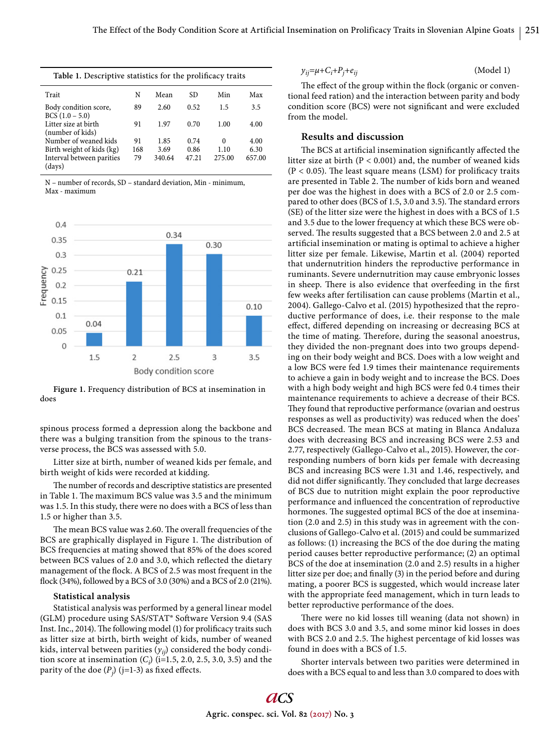| Table 1. Descriptive statistics for the prolificacy traits |
|------------------------------------------------------------|
|                                                            |

| Trait                                     | N   | Mean   | <b>SD</b> | Min    | Max    |
|-------------------------------------------|-----|--------|-----------|--------|--------|
| Body condition score,<br>$BCS(1.0 - 5.0)$ | 89  | 2.60   | 0.52      | 1.5    | 3.5    |
| Litter size at birth<br>(number of kids)  | 91  | 1.97   | 0.70      | 1.00   | 4.00   |
| Number of weaned kids                     | 91  | 1.85   | 0.74      | 0      | 4.00   |
| Birth weight of kids (kg)                 | 168 | 3.69   | 0.86      | 1.10   | 6.30   |
| Interval between parities<br>(days)       | 79  | 340.64 | 47.21     | 275.00 | 657.00 |

N – number of records, SD – standard deviation, Min - minimum, Max - maximum



**Figure 1.** Frequency distribution of BCS at insemination in does

spinous process formed a depression along the backbone and there was a bulging transition from the spinous to the transverse process, the BCS was assessed with 5.0.

Litter size at birth, number of weaned kids per female, and birth weight of kids were recorded at kidding.

The number of records and descriptive statistics are presented in Table 1. The maximum BCS value was 3.5 and the minimum was 1.5. In this study, there were no does with a BCS of less than 1.5 or higher than 3.5.

The mean BCS value was 2.60. The overall frequencies of the BCS are graphically displayed in Figure 1. The distribution of BCS frequencies at mating showed that 85% of the does scored between BCS values of 2.0 and 3.0, which reflected the dietary management of the flock. A BCS of 2.5 was most frequent in the flock (34%), followed by a BCS of 3.0 (30%) and a BCS of 2.0 (21%).

#### **Statistical analysis**

Statistical analysis was performed by a general linear model (GLM) procedure using SAS/STAT® Software Version 9.4 (SAS Inst. Inc., 2014). The following model (1) for prolificacy traits such as litter size at birth, birth weight of kids, number of weaned kids, interval between parities (*yij*) considered the body condition score at insemination  $(C_i)$  (i=1.5, 2.0, 2.5, 3.0, 3.5) and the parity of the doe  $(P_j)$  (j=1-3) as fixed effects.

$$
y_{ij} = \mu + C_i + P_j + e_{ij}
$$
 (Model 1)

The effect of the group within the flock (organic or conventional feed ration) and the interaction between parity and body condition score (BCS) were not significant and were excluded from the model.

# **Results and discussion**

The BCS at artificial insemination significantly affected the litter size at birth ( $P < 0.001$ ) and, the number of weaned kids ( $P < 0.05$ ). The least square means (LSM) for prolificacy traits are presented in Table 2. The number of kids born and weaned per doe was the highest in does with a BCS of 2.0 or 2.5 compared to other does (BCS of 1.5, 3.0 and 3.5). The standard errors (SE) of the litter size were the highest in does with a BCS of 1.5 and 3.5 due to the lower frequency at which these BCS were observed. The results suggested that a BCS between 2.0 and 2.5 at artificial insemination or mating is optimal to achieve a higher litter size per female. Likewise, Martin et al. (2004) reported that undernutrition hinders the reproductive performance in ruminants. Severe undernutrition may cause embryonic losses in sheep. There is also evidence that overfeeding in the first few weeks after fertilisation can cause problems (Martin et al., 2004). Gallego-Calvo et al. (2015) hypothesized that the reproductive performance of does, i.e. their response to the male effect, differed depending on increasing or decreasing BCS at the time of mating. Therefore, during the seasonal anoestrus, they divided the non-pregnant does into two groups depending on their body weight and BCS. Does with a low weight and a low BCS were fed 1.9 times their maintenance requirements to achieve a gain in body weight and to increase the BCS. Does with a high body weight and high BCS were fed 0.4 times their maintenance requirements to achieve a decrease of their BCS. They found that reproductive performance (ovarian and oestrus responses as well as productivity) was reduced when the does' BCS decreased. The mean BCS at mating in Blanca Andaluza does with decreasing BCS and increasing BCS were 2.53 and 2.77, respectively (Gallego-Calvo et al., 2015). However, the corresponding numbers of born kids per female with decreasing BCS and increasing BCS were 1.31 and 1.46, respectively, and did not differ significantly. They concluded that large decreases of BCS due to nutrition might explain the poor reproductive performance and influenced the concentration of reproductive hormones. The suggested optimal BCS of the doe at insemination (2.0 and 2.5) in this study was in agreement with the conclusions of Gallego-Calvo et al. (2015) and could be summarized as follows: (1) increasing the BCS of the doe during the mating period causes better reproductive performance; (2) an optimal BCS of the doe at insemination (2.0 and 2.5) results in a higher litter size per doe; and finally (3) in the period before and during mating, a poorer BCS is suggested, which would increase later with the appropriate feed management, which in turn leads to better reproductive performance of the does.

There were no kid losses till weaning (data not shown) in does with BCS 3.0 and 3.5, and some minor kid losses in does with BCS 2.0 and 2.5. The highest percentage of kid losses was found in does with a BCS of 1.5.

Shorter intervals between two parities were determined in does with a BCS equal to and less than 3.0 compared to does with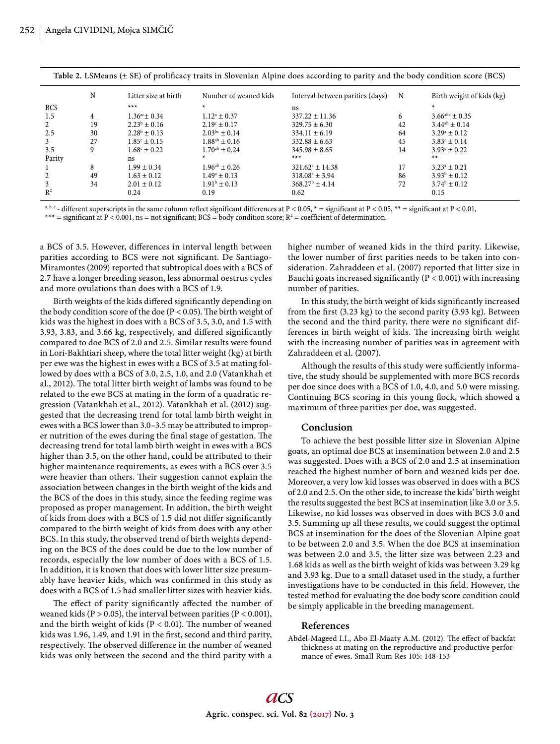| N  | Litter size at birth        | Number of weaned kids   | Interval between parities (days) | N  | Birth weight of kids (kg)    |
|----|-----------------------------|-------------------------|----------------------------------|----|------------------------------|
|    | $***$                       | $\ast$                  | ns                               |    | $\ast$                       |
| 4  | $1.36^{\text{ac}} \pm 0.34$ | $1.12^a \pm 0.37$       | $337.22 \pm 11.36$               | 6  | $3.66^{\text{abc}} \pm 0.35$ |
| 19 | $2.23^b \pm 0.16$           | $2.19^{\circ} \pm 0.17$ | $329.75 \pm 6.30$                | 42 | $3.44^{ab} \pm 0.14$         |
| 30 | $2.28^b \pm 0.13$           | $2.03^{bc} \pm 0.14$    | $334.11 \pm 6.19$                | 64 | $3.29^a \pm 0.12$            |
| 27 | $1.85^{\circ} \pm 0.15$     | $1.88^{ab} \pm 0.16$    | $332.88 \pm 6.63$                | 45 | $3.83^{\circ} \pm 0.14$      |
| 9  | $1.68^{\circ} \pm 0.22$     | $1.70^{ab} \pm 0.24$    | $345.98 \pm 8.65$                | 14 | $3.93^{\circ} \pm 0.22$      |
|    | ns.                         | *                       | $***$                            |    | $***$                        |
| 8  | $1.99 \pm 0.34$             | $1.96^{ab} \pm 0.26$    | $321.62^{\circ} \pm 14.38$       |    | $3.23^{\circ} \pm 0.21$      |
| 49 | $1.63 \pm 0.12$             | $1.49^{\circ} \pm 0.13$ | $318.08^{\circ} \pm 3.94$        | 86 | $3.93^b \pm 0.12$            |
| 34 | $2.01 \pm 0.12$             | $1.91^b \pm 0.13$       | $368.27^b \pm 4.14$              | 72 | $3.74^b \pm 0.12$            |
|    | 0.24                        | 0.19                    | 0.62                             |    | 0.15                         |
|    |                             |                         |                                  |    |                              |

| Table 2. LSMeans (± SE) of prolificacy traits in Slovenian Alpine does according to parity and the body condition score (BCS) |  |  |  |  |  |  |
|-------------------------------------------------------------------------------------------------------------------------------|--|--|--|--|--|--|
|-------------------------------------------------------------------------------------------------------------------------------|--|--|--|--|--|--|

<sup>a, b, c</sup> - different superscripts in the same column reflect significant differences at P < 0.05,  $* =$  significant at P < 0.05,  $** =$  significant at P < 0.01, \*\*\* = significant at P < 0.001, ns = not significant; BCS = body condition score;  $R^2$  = coefficient of determination.

a BCS of 3.5. However, differences in interval length between parities according to BCS were not significant. De Santiago-Miramontes (2009) reported that subtropical does with a BCS of 2.7 have a longer breeding season, less abnormal oestrus cycles and more ovulations than does with a BCS of 1.9.

Birth weights of the kids differed significantly depending on the body condition score of the doe ( $P < 0.05$ ). The birth weight of kids was the highest in does with a BCS of 3.5, 3.0, and 1.5 with 3.93, 3.83, and 3.66 kg, respectively, and differed significantly compared to doe BCS of 2.0 and 2.5. Similar results were found in Lori-Bakhtiari sheep, where the total litter weight (kg) at birth per ewe was the highest in ewes with a BCS of 3.5 at mating followed by does with a BCS of 3.0, 2.5, 1.0, and 2.0 (Vatankhah et al., 2012). The total litter birth weight of lambs was found to be related to the ewe BCS at mating in the form of a quadratic regression (Vatankhah et al., 2012). Vatankhah et al. (2012) suggested that the decreasing trend for total lamb birth weight in ewes with a BCS lower than 3.0–3.5 may be attributed to improper nutrition of the ewes during the final stage of gestation. The decreasing trend for total lamb birth weight in ewes with a BCS higher than 3.5, on the other hand, could be attributed to their higher maintenance requirements, as ewes with a BCS over 3.5 were heavier than others. Their suggestion cannot explain the association between changes in the birth weight of the kids and the BCS of the does in this study, since the feeding regime was proposed as proper management. In addition, the birth weight of kids from does with a BCS of 1.5 did not differ significantly compared to the birth weight of kids from does with any other BCS. In this study, the observed trend of birth weights depending on the BCS of the does could be due to the low number of records, especially the low number of does with a BCS of 1.5. In addition, it is known that does with lower litter size presumably have heavier kids, which was confirmed in this study as does with a BCS of 1.5 had smaller litter sizes with heavier kids.

The effect of parity significantly affected the number of weaned kids ( $P > 0.05$ ), the interval between parities ( $P < 0.001$ ), and the birth weight of kids ( $P < 0.01$ ). The number of weaned kids was 1.96, 1.49, and 1.91 in the first, second and third parity, respectively. The observed difference in the number of weaned kids was only between the second and the third parity with a

higher number of weaned kids in the third parity. Likewise, the lower number of first parities needs to be taken into consideration. Zahraddeen et al. (2007) reported that litter size in Bauchi goats increased significantly ( $P < 0.001$ ) with increasing number of parities.

In this study, the birth weight of kids significantly increased from the first  $(3.23 \text{ kg})$  to the second parity  $(3.93 \text{ kg})$ . Between the second and the third parity, there were no significant differences in birth weight of kids. The increasing birth weight with the increasing number of parities was in agreement with Zahraddeen et al. (2007).

Although the results of this study were sufficiently informative, the study should be supplemented with more BCS records per doe since does with a BCS of 1.0, 4.0, and 5.0 were missing. Continuing BCS scoring in this young flock, which showed a maximum of three parities per doe, was suggested.

## **Conclusion**

To achieve the best possible litter size in Slovenian Alpine goats, an optimal doe BCS at insemination between 2.0 and 2.5 was suggested. Does with a BCS of 2.0 and 2.5 at insemination reached the highest number of born and weaned kids per doe. Moreover, a very low kid losses was observed in does with a BCS of 2.0 and 2.5. On the other side, to increase the kids' birth weight the results suggested the best BCS at insemination like 3.0 or 3.5. Likewise, no kid losses was observed in does with BCS 3.0 and 3.5. Summing up all these results, we could suggest the optimal BCS at insemination for the does of the Slovenian Alpine goat to be between 2.0 and 3.5. When the doe BCS at insemination was between 2.0 and 3.5, the litter size was between 2.23 and 1.68 kids as well as the birth weight of kids was between 3.29 kg and 3.93 kg. Due to a small dataset used in the study, a further investigations have to be conducted in this field. However, the tested method for evaluating the doe body score condition could be simply applicable in the breeding management.

## **References**

Abdel-Mageed I.I., Abo El-Maaty A.M. (2012). The effect of backfat thickness at mating on the reproductive and productive performance of ewes. Small Rum Res 105: 148-153